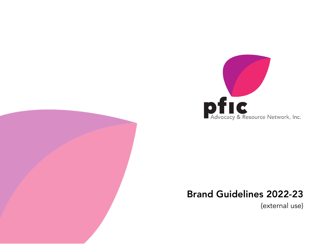

# Brand Guidelines 2022-23

(external use)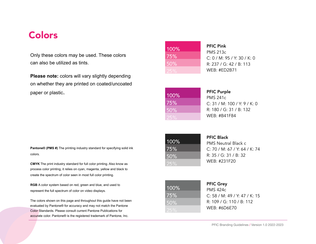### Colors

Only these colors may be used. These colors can also be utilized as tints.

**Please note:** colors will vary slightly depending on whether they are printed on coated/uncoated paper or plastic.

**Pantone® (PMS #)** The printing industry standard for specifying solid ink colors.

**CMYK** The print industry standard for full color printing. Also know as process color printing, it relies on cyan, magenta, yellow and black to create the spectrum of color seen in most full color printing.

**RGB** A color system based on red, green and blue, and used to represent the full spectrum of color on video displays.

The colors shown on this page and throughout this guide have not been evaluated by Pantone® for accuracy and may not match the Pantone Color Standards. Please consult current Pantone Publications for accurate color. Pantone® is the registered trademark of Pantone, Inc.

| 100% |
|------|
| 75%  |
| 50%  |
| ワトゥ  |

PFIC Pink PMS 213c C: 0 / M: 95 / Y: 30 / K: 0 R: 237 / G: 42 / B: 113 WEB: #ED2B71

| 100%              |  |
|-------------------|--|
| 75%               |  |
| $\overline{50\%}$ |  |
| 25%               |  |

PFIC Purple

PMS 241c C: 31 / M: 100 / Y: 9 / K: 0 R: 180 / G: 31 / B: 132 WEB: #B41F84

100% 75% 50%

PFIC Black

PMS Neutral Black c C: 70 / M: 67 / Y: 64 / K: 74 R: 35 / G: 31 / B: 32 WEB: #231F20

| 100% |  |
|------|--|
| 75%  |  |
| 50%  |  |
| 25%  |  |

PFIC Grey PMS 424c C: 58 / M: 49 / Y: 47 / K: 15 R: 109 / G: 110 / B: 112 WEB: #6D6E70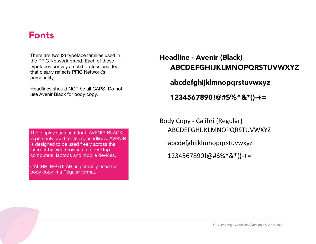### Fonts

There are two (2) typeface families used in the PFIC Network brand. Each of these typefaces convey a solid professional feel that clearly reflects PFIC Network's personality.

Headlines should NOT be all CAPS. Do not use Avenir Black for body copy.

# Headline - Avenir (Black) ABCDEFGHIJKLMNOPQRSTUVWXYZ abcdefghijklmnopqrstuvwxyz

1234567890!@#\$%^&\*()-+=

The display sans serif font, AVENIR BLACK, is primarily used for titles, headlines. AVENIR is designed to be used freely across the internet by web browsers on desktop computers, laptops and mobile devices.

CALIBRI REGULAR, is primarily used for body copy in a Regular format.

Body Copy - Calibri (Regular) ABCDEFGHIJKLMNOPQRSTUVWXYZ abcdefghijklmnopqrstuvwxyz 1234567890!@#\$%^&\*()-+=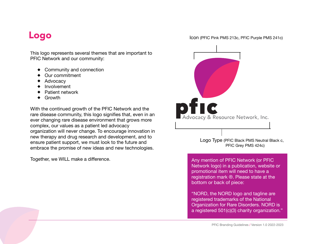### Logo

This logo represents several themes that are important to PFIC Network and our community:

- ◆ Community and connection
- Our commitment
- ◆ Advocacy
- Involvement
- ◆ Patient network
- ◆ Growth

With the continued growth of the PFIC Network and the rare disease community, this logo signifies that, even in an ever changing rare disease environment that grows more complex, our values as a patient led advocacy organization will never change. To encourage innovation in new therapy and drug research and development, and to ensure patient support, we must look to the future and embrace the promise of new ideas and new technologies.

Icon (PFIC Pink PMS 213c, PFIC Purple PMS 241c)



Together, we WILL make a difference. The state of the state of the Any mention of PFIC Network (or PFIC Network logo) in a publication, website or promotional item will need to have a registration mark ®. Please state at the bottom or back of piece:

> "NORD, the NORD logo and tagline are registered trademarks of the National Organization for Rare Disorders. NORD is a registered 501(c)(3) charity organization."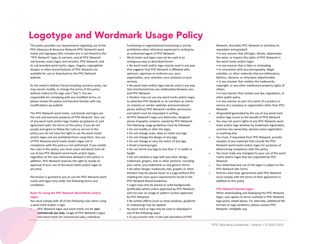# Logotype and Wordmark Usage Policy

This policy provides our requirements regarding use of the PFIC Advocacy & Resource Network (PFIC Network) word marks and logotypes (this includes but is not limited to the "PFIC Network" logo, its variants, and all PFIC Network sub-brands, event logos and variants). PFIC Network, and its sub branded word marks, logos, slogans, copyrighted designs or other brand features of PFIC Network are available for use or download on the PFIC Network website.

As the need to address future branding concerns arises, we may cancel, modify, or change the terms of this policy without notice to the logo user ("You"). You are responsible for complying with any modified terms, so please review this policy and become familiar with any modifications we publish.

The PFIC Network word marks, sub brands and logos are the sole and exclusive property of PFIC Network. Your use of any word mark and/or logo implies acceptance of, and agreement with, the terms of this policy. If you do not accept and agree to follow the rules as set out in this policy, you do not have the right to use the word marks and/or logos and are prohibited from using them. Any use of PFIC Network word marks and/or logos not in compliance with this policy is not authorized. If you violate the rules in this policy, you must cease and desist from all use of any PFIC Network word marks and/or logos, regardless of the uses otherwise allowed in this policy. In addition, PFIC Network reserves the right to revoke its approval of your use of the word marks and/or logos at any time.

Permission is granted to you to use the PFIC Network word marks and logos only under the following terms and conditions:

#### **Rules for Using the PFIC Network Word Marks and/or Logos:**

You must comply with all of the following rules when using a word mark and/or a logo:

PFIC Network logos and word marks are for **noncommercial use only**. Usage of PFIC Network's logos and word marks for commercial sales, individual

fundraising or organizational fundraising is strictly prohibited unless otherwise expressed in writing by an authorized agent of PFIC Network. Word marks and logos may not be used in an

- ambiguous way as described herein: • No word mark and/or logo may be used in any way that suggests that PFIC Network is affiliated with,
- sponsors, approves or endorses you, your organization, your websites, your products or your services.
- No word mark and/or logo may be used in any way that mischaracterizes any relationship between you and PFIC Network
- Vendors may not use any word marks and/or logos to advertise PFIC Network or its members as clients on industry or vendor websites and promotional pieces without PFIC Network's written permission, and which must be requested in writing. All PFIC Network's logos are distinctive, designed pieces of graphic artwork, owned by PFIC Network. The following usage guidelines must be followed:
- Do not modify or alter the logos
- Do not change scale, skew or rotate any logo
- Do not change the design of any logo
- Do not change or vary the colors of any logo
- Avoid screening logos
- Do not shrink any logo to less than 1" in width or height
- Do not combine a logo with any other design, trademark, graphic, text or other element, including your name, any trademarks or any generic terms
- No other design, trademark, text, graphic or other element may be placed closer to a Logo without first meeting the clear space requirements found in the PFIC Network Brand Guidelines
- Logos may only be placed on solid backgrounds (preferably white) unless approved by PFIC Network, and not over an image or pattern (unless approved by PFIC Network)
- No artistic effects (such as drop-shadows, gradients or embossing) may be applied
- No word mark or logo may be used or displayed in any of the following ways:
	- In any manner that, in the sole discretion of PFIC

Network, discredits PFIC Network or tarnishes its reputation and goodwill

- In any manner that infringes, dilutes, depreciates the value, or impairs the rights of PFIC Network in the word marks and/or logos
- In any manner that is false or misleading
- In connection with any pornography, illegal activities, or other materials that are defamatory, libelous, obscene, or otherwise objectionable • In any manner that violates the trademarks, copyright, or any other intellectual property rights of others
- In any manner that violates any law, regulations, or other public policy
- In any manner as part of a name of a product or service of a company or organization other than PFIC Network
- All goodwill generated by the use of any word mark and/or logo inures to the benefit of PFIC Network
- You may not assert rights to any PFIC Network word mark and/or logo whether by trademark registration, common law ownership, domain name registration or anything else
- You must, if requested from PFIC Network, provide samples of any materials that include the PFIC Network word marks and/or logos for purposes of determining compliance with this policy
- You must make any change(s) to your use of the word marks and/or logos that are requested by PFIC Network
- Your download and use of the logos is subject to the PFIC Network Site Terms
- Partners who have agreements with PFIC Network must comply with the terms of their agreement in addition to this policy

#### **PFIC Network Owned Logos:**

When downloading and displaying the PFIC Network logos, user agrees to terms outlined in PFIC Network logo policy stated above. For alternate, additional file formats or logo variations, please contact PFIC Network: info@pfic.org.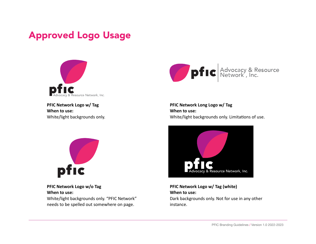### Approved Logo Usage



**PFIC Network Logo w/ Tag When to use:** White/light backgrounds only.



**PFIC Network Logo w/o Tag When to use:** White/light backgrounds only. "PFIC Network" needs to be spelled out somewhere on page.



**PFIC Network Long Logo w/ Tag When to use:** White/light backgrounds only. Limitations of use.



**PFIC Network Logo w/ Tag (white) When to use:** Dark backgrounds only. Not for use in any other instance.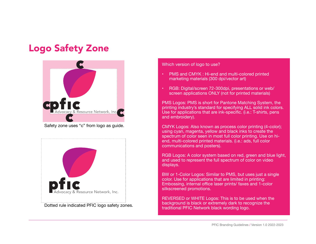### Logo Safety Zone



Safety zone uses "c" from logo as guide.



Dotted rule indicated PFIC logo safety zones.

Which version of logo to use?

- PMS and CMYK : Hi-end and multi-colored printed marketing materials (300 dpi/vector art)
- RGB: Digital/screen 72-300dpi, presentations or web/ screen applications ONLY (not for printed materials)

PMS Logos: PMS is short for Pantone Matching System, the printing industry's standard for specifying ALL solid ink colors. Use for applications that are ink-specific. (i.e.: T-shirts, pens and embroidery).

CMYK Logos: Also known as process color printing (4-color); using cyan, magenta, yellow and black inks to create the spectrum of color seen in most full color printing. Use on hiend, multi-colored printed materials. (i.e.: ads, full color communications and posters).

RGB Logos: A color system based on red, green and blue light, and used to represent the full spectrum of color on video displays.

BW or 1-Color Logos: Similar to PMS, but uses just a single color. Use for applications that are limited in printing: Embossing, internal office laser prints/ faxes and 1-color silkscreened promotions.

REVERSED or WHITE Logos: This is to be used when the background is black or extremely dark to recognize the traditional PFIC Network black wording logo.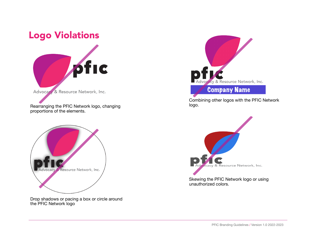### Logo Violations



Rearranging the PFIC Network logo, changing proportions of the elements.



Drop shadows or pacing a box or circle around the PFIC Network logo



Combining other logos with the PFIC Network logo.



Skewing the PFIC Network logo or using unauthorized colors.